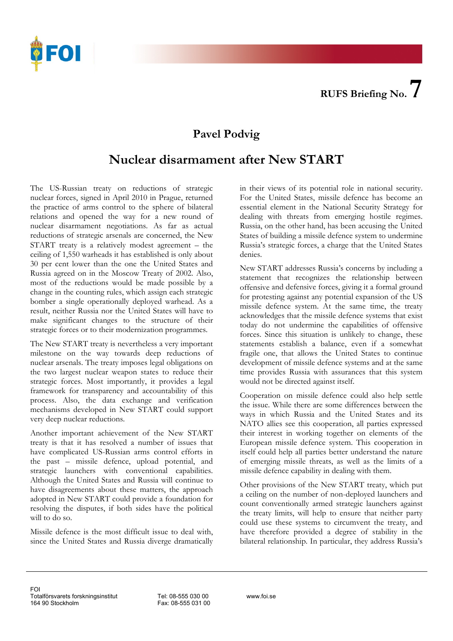

## **Pavel Podvig**

## **Nuclear disarmament after New START**

The US-Russian treaty on reductions of strategic nuclear forces, signed in April 2010 in Prague, returned the practice of arms control to the sphere of bilateral relations and opened the way for a new round of nuclear disarmament negotiations. As far as actual reductions of strategic arsenals are concerned, the New START treaty is a relatively modest agreement – the ceiling of 1,550 warheads it has established is only about 30 per cent lower than the one the United States and Russia agreed on in the Moscow Treaty of 2002. Also, most of the reductions would be made possible by a change in the counting rules, which assign each strategic bomber a single operationally deployed warhead. As a result, neither Russia nor the United States will have to make significant changes to the structure of their strategic forces or to their modernization programmes.

The New START treaty is nevertheless a very important milestone on the way towards deep reductions of nuclear arsenals. The treaty imposes legal obligations on the two largest nuclear weapon states to reduce their strategic forces. Most importantly, it provides a legal framework for transparency and accountability of this process. Also, the data exchange and verification mechanisms developed in New START could support very deep nuclear reductions.

Another important achievement of the New START treaty is that it has resolved a number of issues that have complicated US-Russian arms control efforts in the past – missile defence, upload potential, and strategic launchers with conventional capabilities. Although the United States and Russia will continue to have disagreements about these matters, the approach adopted in New START could provide a foundation for resolving the disputes, if both sides have the political will to do so.

Missile defence is the most difficult issue to deal with, since the United States and Russia diverge dramatically

in their views of its potential role in national security. For the United States, missile defence has become an essential element in the National Security Strategy for dealing with threats from emerging hostile regimes. Russia, on the other hand, has been accusing the United States of building a missile defence system to undermine Russia's strategic forces, a charge that the United States denies.

offensive and defensive forces, giving it a formal ground New START addresses Russia's concerns by including a statement that recognizes the relationship between for protesting against any potential expansion of the US missile defence system. At the same time, the treaty acknowledges that the missile defence systems that exist today do not undermine the capabilities of offensive forces. Since this situation is unlikely to change, these statements establish a balance, even if a somewhat fragile one, that allows the United States to continue development of missile defence systems and at the same time provides Russia with assurances that this system would not be directed against itself.

ways in which Russia and the United States and its Cooperation on missile defence could also help settle the issue. While there are some differences between the NATO allies see this cooperation, all parties expressed their interest in working together on elements of the European missile defence system. This cooperation in itself could help all parties better understand the nature of emerging missile threats, as well as the limits of a missile defence capability in dealing with them.

count conventionally armed strategic launchers against bilateral relationship. In particular, they address Russia's Other provisions of the New START treaty, which put a ceiling on the number of non-deployed launchers and the treaty limits, will help to ensure that neither party could use these systems to circumvent the treaty, and have therefore provided a degree of stability in the